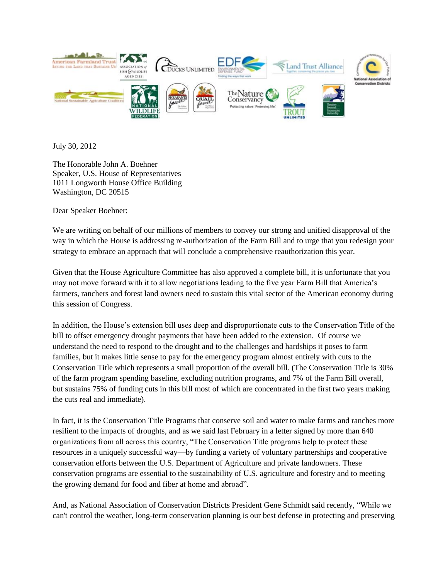

July 30, 2012

The Honorable John A. Boehner Speaker, U.S. House of Representatives 1011 Longworth House Office Building Washington, DC 20515

Dear Speaker Boehner:

We are writing on behalf of our millions of members to convey our strong and unified disapproval of the way in which the House is addressing re-authorization of the Farm Bill and to urge that you redesign your strategy to embrace an approach that will conclude a comprehensive reauthorization this year.

Given that the House Agriculture Committee has also approved a complete bill, it is unfortunate that you may not move forward with it to allow negotiations leading to the five year Farm Bill that America's farmers, ranchers and forest land owners need to sustain this vital sector of the American economy during this session of Congress.

In addition, the House's extension bill uses deep and disproportionate cuts to the Conservation Title of the bill to offset emergency drought payments that have been added to the extension. Of course we understand the need to respond to the drought and to the challenges and hardships it poses to farm families, but it makes little sense to pay for the emergency program almost entirely with cuts to the Conservation Title which represents a small proportion of the overall bill. (The Conservation Title is 30% of the farm program spending baseline, excluding nutrition programs, and 7% of the Farm Bill overall, but sustains 75% of funding cuts in this bill most of which are concentrated in the first two years making the cuts real and immediate).

In fact, it is the Conservation Title Programs that conserve soil and water to make farms and ranches more resilient to the impacts of droughts, and as we said last February in a letter signed by more than 640 organizations from all across this country, "The Conservation Title programs help to protect these resources in a uniquely successful way—by funding a variety of voluntary partnerships and cooperative conservation efforts between the U.S. Department of Agriculture and private landowners. These conservation programs are essential to the sustainability of U.S. agriculture and forestry and to meeting the growing demand for food and fiber at home and abroad".

And, as National Association of Conservation Districts President Gene Schmidt said recently, "While we can't control the weather, long-term conservation planning is our best defense in protecting and preserving